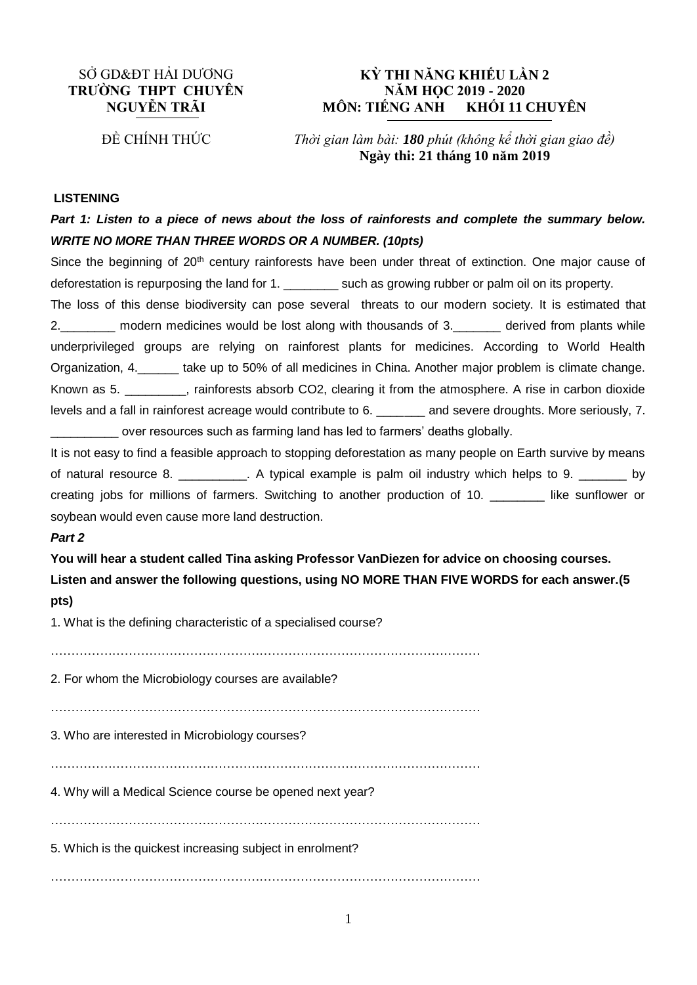## SỞ GD&ĐT HẢI DƯƠNG **TRƯỜNG THPT CHUYÊN NGUYỄN TRÃI**

### **KỲ THI NĂNG KHIẾU LẦN 2 NĂM HỌC 2019 - 2020 MÔN: TIẾNG ANH KHỐI 11 CHUYÊN**

ĐỀ CHÍNH THỨC

*Thời gian làm bài: 180 phút (không kể thời gian giao đề)* **Ngày thi: 21 tháng 10 năm 2019**

### **LISTENING**

*Part 1: Listen to a piece of news about the loss of rainforests and complete the summary below. WRITE NO MORE THAN THREE WORDS OR A NUMBER. (10pts)* 

Since the beginning of  $20<sup>th</sup>$  century rainforests have been under threat of extinction. One major cause of deforestation is repurposing the land for 1. \_\_\_\_\_\_\_\_\_\_ such as growing rubber or palm oil on its property.

The loss of this dense biodiversity can pose several threats to our modern society. It is estimated that 2. \_\_\_\_\_\_\_ modern medicines would be lost along with thousands of 3. \_\_\_\_\_\_ derived from plants while underprivileged groups are relying on rainforest plants for medicines. According to World Health Organization, 4. \_\_\_\_\_\_\_ take up to 50% of all medicines in China. Another major problem is climate change. Known as 5. \_\_\_\_\_\_\_\_\_, rainforests absorb CO2, clearing it from the atmosphere. A rise in carbon dioxide levels and a fall in rainforest acreage would contribute to 6. \_\_\_\_\_\_\_ and severe droughts. More seriously, 7. over resources such as farming land has led to farmers' deaths globally.

It is not easy to find a feasible approach to stopping deforestation as many people on Earth survive by means of natural resource 8. \_\_\_\_\_\_\_\_\_\_. A typical example is palm oil industry which helps to 9. \_\_\_\_\_\_\_ by creating jobs for millions of farmers. Switching to another production of 10. **Example 10.** like sunflower or soybean would even cause more land destruction.

#### *Part 2*

**You will hear a student called Tina asking Professor VanDiezen for advice on choosing courses. Listen and answer the following questions, using NO MORE THAN FIVE WORDS for each answer.(5 pts)**

1. What is the defining characteristic of a specialised course?

2. For whom the Microbiology courses are available?

……………………………………………………………………………………………

……………………………………………………………………………………………

3. Who are interested in Microbiology courses?

……………………………………………………………………………………………

4. Why will a Medical Science course be opened next year?

……………………………………………………………………………………………

5. Which is the quickest increasing subject in enrolment?

……………………………………………………………………………………………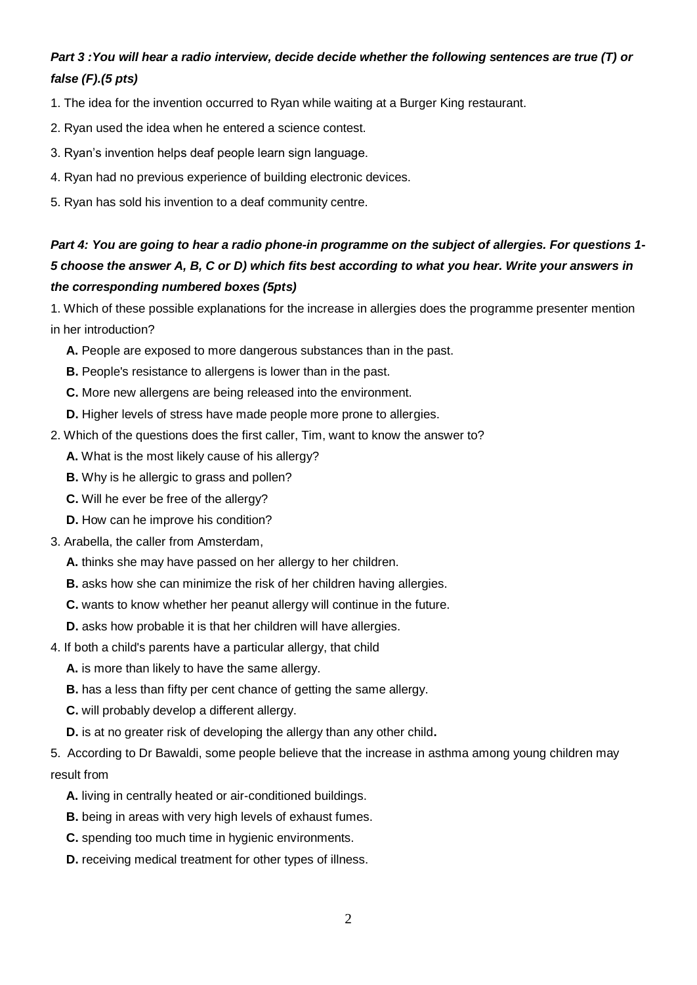# *Part 3 :You will hear a radio interview, decide decide whether the following sentences are true (T) or false (F).(5 pts)*

- 1. The idea for the invention occurred to Ryan while waiting at a Burger King restaurant.
- 2. Ryan used the idea when he entered a science contest.
- 3. Ryan's invention helps deaf people learn sign language.
- 4. Ryan had no previous experience of building electronic devices.
- 5. Ryan has sold his invention to a deaf community centre.

# *Part 4: You are going to hear a radio phone-in programme on the subject of allergies. For questions 1- 5 choose the answer A, B, C or D) which fits best according to what you hear. Write your answers in the corresponding numbered boxes (5pts)*

1. Which of these possible explanations for the increase in allergies does the programme presenter mention in her introduction?

- **A.** People are exposed to more dangerous substances than in the past.
- **B.** People's resistance to allergens is lower than in the past.
- **C.** More new allergens are being released into the environment.
- **D.** Higher levels of stress have made people more prone to allergies.
- 2. Which of the questions does the first caller, Tim, want to know the answer to?
	- **A.** What is the most likely cause of his allergy?
	- **B.** Why is he allergic to grass and pollen?
	- **C.** Will he ever be free of the allergy?
	- **D.** How can he improve his condition?
- 3. Arabella, the caller from Amsterdam,
	- **A.** thinks she may have passed on her allergy to her children.
	- **B.** asks how she can minimize the risk of her children having allergies.
	- **C.** wants to know whether her peanut allergy will continue in the future.
	- **D.** asks how probable it is that her children will have allergies.
- 4. If both a child's parents have a particular allergy, that child
	- **A.** is more than likely to have the same allergy.
	- **B.** has a less than fifty per cent chance of getting the same allergy.
	- **C.** will probably develop a different allergy.
	- **D.** is at no greater risk of developing the allergy than any other child**.**
- 5. According to Dr Bawaldi, some people believe that the increase in asthma among young children may result from
	- **A.** living in centrally heated or air-conditioned buildings.
	- **B.** being in areas with very high levels of exhaust fumes.
	- **C.** spending too much time in hygienic environments.
	- **D.** receiving medical treatment for other types of illness.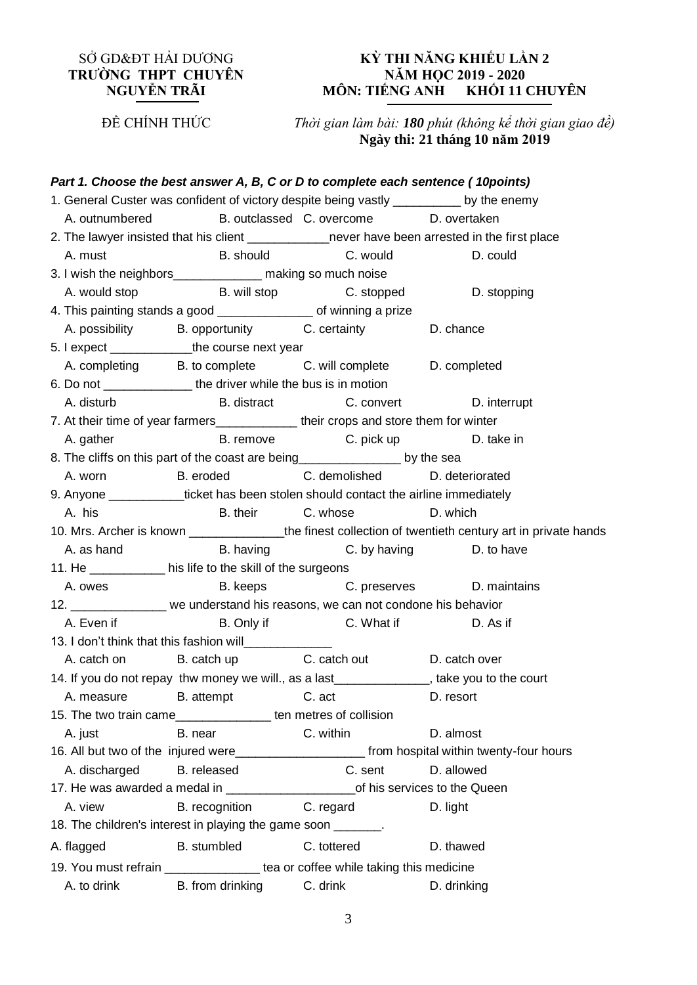## SỞ GD&ĐT HẢI DƯƠNG **TRƯỜNG THPT CHUYÊN NGUYỄN TRÃI**

# **KỲ THI NĂNG KHIẾU LẦN 2 NĂM HỌC 2019 - 2020 MÔN: TIẾNG ANH KHỐI 11 CHUYÊN**

ĐỀ CHÍNH THỨC

*Thời gian làm bài: 180 phút (không kể thời gian giao đề)* **Ngày thi: 21 tháng 10 năm 2019**

|               | Part 1. Choose the best answer A, B, C or D to complete each sentence (10points)       |                                    |                                                                                                          |
|---------------|----------------------------------------------------------------------------------------|------------------------------------|----------------------------------------------------------------------------------------------------------|
|               | 1. General Custer was confident of victory despite being vastly _________ by the enemy |                                    |                                                                                                          |
|               | A. outnumbered B. outclassed C. overcome D. overtaken                                  |                                    |                                                                                                          |
|               |                                                                                        |                                    | 2. The lawyer insisted that his client ______________never have been arrested in the first place         |
| A. must       |                                                                                        | B. should C. would                 | D. could                                                                                                 |
|               | 3. I wish the neighbors_______________ making so much noise                            |                                    |                                                                                                          |
|               | A. would stop <b>b.</b> B. will stop <b>b.</b> C. stopped <b>b.</b> stopping           |                                    |                                                                                                          |
|               | 4. This painting stands a good ___________________ of winning a prize                  |                                    |                                                                                                          |
|               | A. possibility B. opportunity C. certainty D. chance                                   |                                    |                                                                                                          |
|               | 5. I expect ________________the course next year                                       |                                    |                                                                                                          |
|               | A. completing B. to complete C. will complete D. completed                             |                                    |                                                                                                          |
|               | 6. Do not ________________the driver while the bus is in motion                        |                                    |                                                                                                          |
|               | A. disturb <b>B.</b> distract <b>C. convert D. interrupt</b>                           |                                    |                                                                                                          |
|               | 7. At their time of year farmers_______________ their crops and store them for winter  |                                    |                                                                                                          |
|               | A. gather <b>B. remove C. pick up D. take in</b>                                       |                                    |                                                                                                          |
|               | 8. The cliffs on this part of the coast are being__________________ by the sea         |                                    |                                                                                                          |
|               | A. worn B. eroded C. demolished D. deteriorated                                        |                                    |                                                                                                          |
|               | 9. Anyone ___________ticket has been stolen should contact the airline immediately     |                                    |                                                                                                          |
| A. his        | B. their C. whose                                                                      |                                    | D. which                                                                                                 |
|               |                                                                                        |                                    | 10. Mrs. Archer is known ________________the finest collection of twentieth century art in private hands |
| A. as hand    | B. having C. by having                                                                 |                                    | D. to have                                                                                               |
|               | 11. He _____________ his life to the skill of the surgeons                             |                                    |                                                                                                          |
| A. owes       |                                                                                        | B. keeps C. preserves D. maintains |                                                                                                          |
|               | 12. _________________ we understand his reasons, we can not condone his behavior       |                                    |                                                                                                          |
| A. Even if    | B. Only if C. What if D. As if                                                         |                                    |                                                                                                          |
|               | 13. I don't think that this fashion will_____________                                  |                                    |                                                                                                          |
|               | A. catch on B. catch up B. catch out D. catch over                                     |                                    |                                                                                                          |
|               |                                                                                        |                                    | 14. If you do not repay thw money we will., as a last_____________, take you to the court                |
| A. measure    | B. attempt C. act                                                                      |                                    | D. resort                                                                                                |
|               | 15. The two train came________________ ten metres of collision                         |                                    |                                                                                                          |
| A. just       | B. near                                                                                | C. within                          | D. almost                                                                                                |
|               |                                                                                        |                                    | 16. All but two of the injured were__________________________ from hospital within twenty-four hours     |
| A. discharged | B. released                                                                            | C. sent                            | D. allowed                                                                                               |
|               | 17. He was awarded a medal in ________________________of his services to the Queen     |                                    |                                                                                                          |
| A. view       |                                                                                        | B. recognition C. regard           | D. light                                                                                                 |
|               | 18. The children's interest in playing the game soon _______.                          |                                    |                                                                                                          |
| A. flagged    | B. stumbled C. tottered                                                                |                                    | D. thawed                                                                                                |
|               | 19. You must refrain _______________ tea or coffee while taking this medicine          |                                    |                                                                                                          |
|               | A. to drink B. from drinking C. drink                                                  |                                    | D. drinking                                                                                              |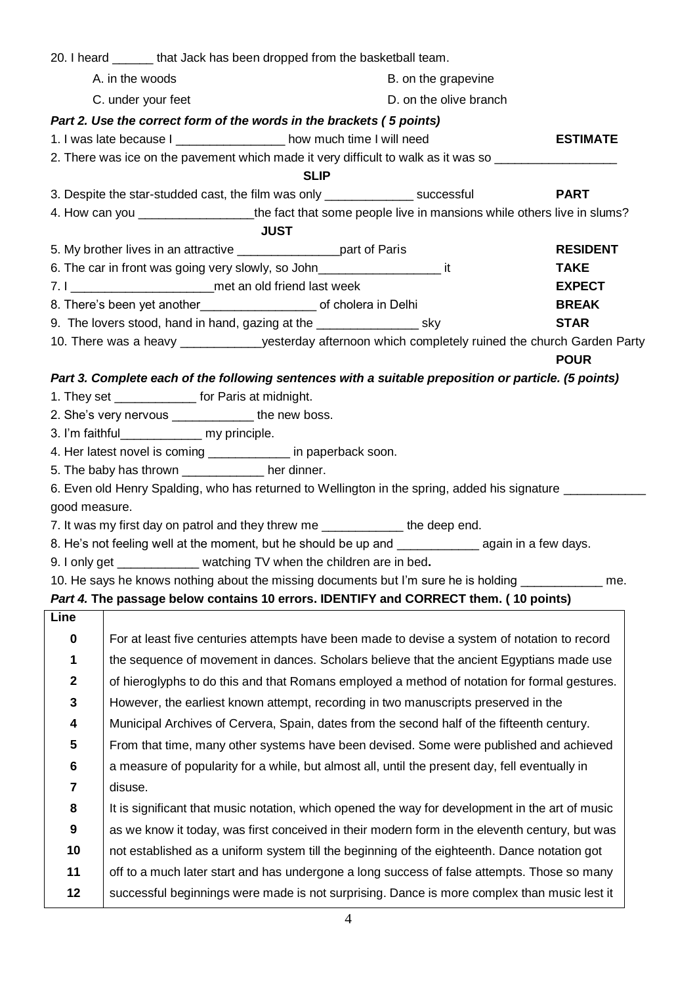|                         | 20. I heard _______ that Jack has been dropped from the basketball team.                                                                                   |  |                 |  |  |
|-------------------------|------------------------------------------------------------------------------------------------------------------------------------------------------------|--|-----------------|--|--|
|                         | A. in the woods<br>B. on the grapevine                                                                                                                     |  |                 |  |  |
|                         | C. under your feet<br>D. on the olive branch                                                                                                               |  |                 |  |  |
|                         | Part 2. Use the correct form of the words in the brackets (5 points)                                                                                       |  |                 |  |  |
|                         | 1. I was late because I _________________ how much time I will need                                                                                        |  | <b>ESTIMATE</b> |  |  |
|                         | 2. There was ice on the pavement which made it very difficult to walk as it was so                                                                         |  |                 |  |  |
|                         | <b>SLIP</b>                                                                                                                                                |  |                 |  |  |
|                         | 3. Despite the star-studded cast, the film was only ________________ successful                                                                            |  | <b>PART</b>     |  |  |
|                         | 4. How can you ____________________the fact that some people live in mansions while others live in slums?<br><b>JUST</b>                                   |  |                 |  |  |
|                         | 5. My brother lives in an attractive ________________________ part of Paris                                                                                |  | <b>RESIDENT</b> |  |  |
|                         | 6. The car in front was going very slowly, so John______________________________ it                                                                        |  | <b>TAKE</b>     |  |  |
|                         |                                                                                                                                                            |  | <b>EXPECT</b>   |  |  |
|                         | 8. There's been yet another_________________________ of cholera in Delhi                                                                                   |  | <b>BREAK</b>    |  |  |
|                         | 9. The lovers stood, hand in hand, gazing at the _______________________sky                                                                                |  | <b>STAR</b>     |  |  |
|                         | 10. There was a heavy _________________yesterday afternoon which completely ruined the church Garden Party                                                 |  | <b>POUR</b>     |  |  |
|                         | Part 3. Complete each of the following sentences with a suitable preposition or particle. (5 points)                                                       |  |                 |  |  |
|                         | 1. They set _________________ for Paris at midnight.                                                                                                       |  |                 |  |  |
|                         | 2. She's very nervous ______________ the new boss.                                                                                                         |  |                 |  |  |
|                         | 3. I'm faithful_______________ my principle.                                                                                                               |  |                 |  |  |
|                         | 4. Her latest novel is coming ____________ in paperback soon.                                                                                              |  |                 |  |  |
|                         | 5. The baby has thrown ___________ her dinner.<br>6. Even old Henry Spalding, who has returned to Wellington in the spring, added his signature __________ |  |                 |  |  |
| good measure.           |                                                                                                                                                            |  |                 |  |  |
|                         | 7. It was my first day on patrol and they threw me ____________ the deep end.                                                                              |  |                 |  |  |
|                         | 8. He's not feeling well at the moment, but he should be up and ________________ again in a few days.                                                      |  |                 |  |  |
|                         | 9. I only get ___________ watching TV when the children are in bed.                                                                                        |  |                 |  |  |
|                         | 10. He says he knows nothing about the missing documents but I'm sure he is holding ____________ me.                                                       |  |                 |  |  |
|                         | Part 4. The passage below contains 10 errors. IDENTIFY and CORRECT them. (10 points)                                                                       |  |                 |  |  |
| <b>Line</b>             |                                                                                                                                                            |  |                 |  |  |
| $\mathbf 0$             | For at least five centuries attempts have been made to devise a system of notation to record                                                               |  |                 |  |  |
| $\mathbf 1$             | the sequence of movement in dances. Scholars believe that the ancient Egyptians made use                                                                   |  |                 |  |  |
| $\mathbf{2}$            | of hieroglyphs to do this and that Romans employed a method of notation for formal gestures.                                                               |  |                 |  |  |
| 3                       | However, the earliest known attempt, recording in two manuscripts preserved in the                                                                         |  |                 |  |  |
| 4                       | Municipal Archives of Cervera, Spain, dates from the second half of the fifteenth century.                                                                 |  |                 |  |  |
| 5                       | From that time, many other systems have been devised. Some were published and achieved                                                                     |  |                 |  |  |
| 6                       | a measure of popularity for a while, but almost all, until the present day, fell eventually in                                                             |  |                 |  |  |
| $\overline{\mathbf{7}}$ | disuse.                                                                                                                                                    |  |                 |  |  |
| 8                       | It is significant that music notation, which opened the way for development in the art of music                                                            |  |                 |  |  |
| $\boldsymbol{9}$        | as we know it today, was first conceived in their modern form in the eleventh century, but was                                                             |  |                 |  |  |
| 10                      | not established as a uniform system till the beginning of the eighteenth. Dance notation got                                                               |  |                 |  |  |
| 11                      | off to a much later start and has undergone a long success of false attempts. Those so many                                                                |  |                 |  |  |
| 12                      | successful beginnings were made is not surprising. Dance is more complex than music lest it                                                                |  |                 |  |  |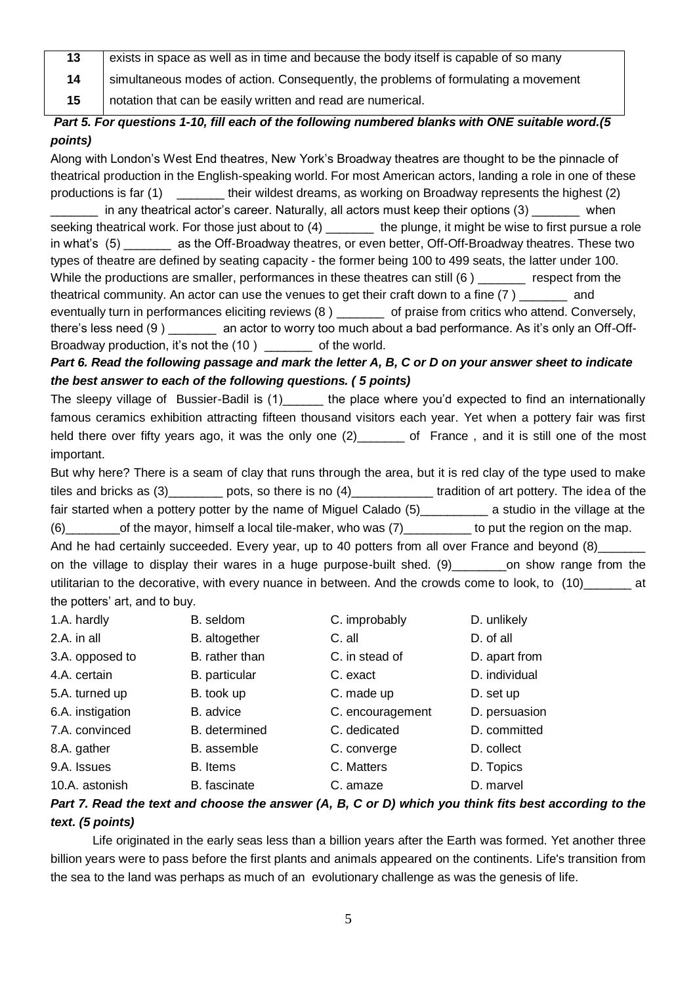- **13** exists in space as well as in time and because the body itself is capable of so many
- **14** simultaneous modes of action. Consequently, the problems of formulating a movement
- **15** notation that can be easily written and read are numerical.

# *Part 5. For questions 1-10, fill each of the following numbered blanks with ONE suitable word.(5 points)*

Along with London's West End theatres, New York's Broadway theatres are thought to be the pinnacle of theatrical production in the English-speaking world. For most American actors, landing a role in one of these productions is far (1) \_\_\_\_\_\_\_ their wildest dreams, as working on Broadway represents the highest (2)

in any theatrical actor's career. Naturally, all actors must keep their options (3) when seeking theatrical work. For those just about to (4) the plunge, it might be wise to first pursue a role in what's (5) as the Off-Broadway theatres, or even better, Off-Off-Broadway theatres. These two types of theatre are defined by seating capacity - the former being 100 to 499 seats, the latter under 100. While the productions are smaller, performances in these theatres can still (6) respect from the theatrical community. An actor can use the venues to get their craft down to a fine (7) and eventually turn in performances eliciting reviews (8) \_\_\_\_\_\_\_\_ of praise from critics who attend. Conversely, there's less need (9) an actor to worry too much about a bad performance. As it's only an Off-Off-Broadway production, it's not the (10) \_\_\_\_\_\_ of the world.

# *Part 6. Read the following passage and mark the letter A, B, C or D on your answer sheet to indicate the best answer to each of the following questions. ( 5 points)*

The sleepy village of Bussier-Badil is (1) the place where you'd expected to find an internationally famous ceramics exhibition attracting fifteen thousand visitors each year. Yet when a pottery fair was first held there over fifty years ago, it was the only one (2) of France, and it is still one of the most important.

But why here? There is a seam of clay that runs through the area, but it is red clay of the type used to make tiles and bricks as  $(3)$  \_\_\_\_\_\_\_\_ pots, so there is no  $(4)$  \_\_\_\_\_\_\_\_\_\_\_\_\_\_ tradition of art pottery. The idea of the fair started when a pottery potter by the name of Miguel Calado (5)\_\_\_\_\_\_\_\_\_\_\_ a studio in the village at the  $(6)$  of the mayor, himself a local tile-maker, who was  $(7)$  to put the region on the map.

And he had certainly succeeded. Every year, up to 40 potters from all over France and beyond (8) on the village to display their wares in a huge purpose-built shed. (9)\_\_\_\_\_\_\_\_on show range from the utilitarian to the decorative, with every nuance in between. And the crowds come to look, to (10) at the potters' art, and to buy.

| 1.A. hardly      | B. seldom      | C. improbably    | D. unlikely   |
|------------------|----------------|------------------|---------------|
| 2.A. in all      | B. altogether  | C. all           | D. of all     |
| 3.A. opposed to  | B. rather than | C. in stead of   | D. apart from |
| 4.A. certain     | B. particular  | C. exact         | D. individual |
| 5.A. turned up   | B. took up     | C. made up       | D. set up     |
| 6.A. instigation | B. advice      | C. encouragement | D. persuasion |
| 7.A. convinced   | B. determined  | C. dedicated     | D. committed  |
| 8.A. gather      | B. assemble    | C. converge      | D. collect    |
| 9.A. Issues      | B. Items       | C. Matters       | D. Topics     |
| 10.A. astonish   | B. fascinate   | C. amaze         | D. marvel     |

# *Part 7. Read the text and choose the answer (A, B, C or D) which you think fits best according to the text. (5 points)*

Life originated in the early seas less than a billion years after the Earth was formed. Yet another three billion years were to pass before the first plants and animals appeared on the continents. Life's transition from the sea to the land was perhaps as much of an evolutionary challenge as was the genesis of life.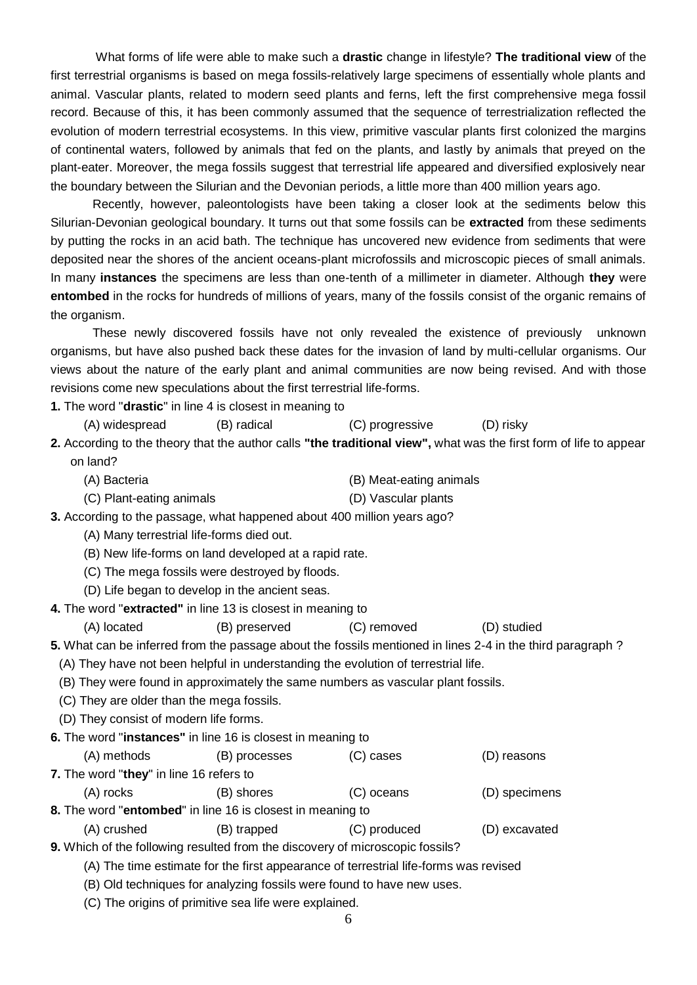What forms of life were able to make such a **drastic** change in lifestyle? **The traditional view** of the first terrestrial organisms is based on mega fossils-relatively large specimens of essentially whole plants and animal. Vascular plants, related to modern seed plants and ferns, left the first comprehensive mega fossil record. Because of this, it has been commonly assumed that the sequence of terrestrialization reflected the evolution of modern terrestrial ecosystems. In this view, primitive vascular plants first colonized the margins of continental waters, followed by animals that fed on the plants, and lastly by animals that preyed on the plant-eater. Moreover, the mega fossils suggest that terrestrial life appeared and diversified explosively near the boundary between the Silurian and the Devonian periods, a little more than 400 million years ago.

 Recently, however, paleontologists have been taking a closer look at the sediments below this Silurian-Devonian geological boundary. It turns out that some fossils can be **extracted** from these sediments by putting the rocks in an acid bath. The technique has uncovered new evidence from sediments that were deposited near the shores of the ancient oceans-plant microfossils and microscopic pieces of small animals. In many **instances** the specimens are less than one-tenth of a millimeter in diameter. Although **they** were **entombed** in the rocks for hundreds of millions of years, many of the fossils consist of the organic remains of the organism.

These newly discovered fossils have not only revealed the existence of previously unknown organisms, but have also pushed back these dates for the invasion of land by multi-cellular organisms. Our views about the nature of the early plant and animal communities are now being revised. And with those revisions come new speculations about the first terrestrial life-forms.

**1.** The word "**drastic**" in line 4 is closest in meaning to

(A) widespread (B) radical (C) progressive (D) risky

**2.** According to the theory that the author calls **"the traditional view",** what was the first form of life to appear on land?

- (A) Bacteria (B) Meat-eating animals
- (C) Plant-eating animals (D) Vascular plants

**3.** According to the passage, what happened about 400 million years ago?

- (A) Many terrestrial life-forms died out.
- (B) New life-forms on land developed at a rapid rate.
- (C) The mega fossils were destroyed by floods.
- (D) Life began to develop in the ancient seas.

**4.** The word "**extracted"** in line 13 is closest in meaning to

(A) located (B) preserved (C) removed (D) studied

**5.** What can be inferred from the passage about the fossils mentioned in lines 2-4 in the third paragraph ?

- (A) They have not been helpful in understanding the evolution of terrestrial life.
- (B) They were found in approximately the same numbers as vascular plant fossils.
- (C) They are older than the mega fossils.
- (D) They consist of modern life forms.

**6.** The word "**instances"** in line 16 is closest in meaning to

(A) methods (B) processes (C) cases (D) reasons

- **7.** The word "**they**" in line 16 refers to
- (A) rocks (B) shores (C) oceans (D) specimens **8.** The word "**entombed**" in line 16 is closest in meaning to
	- (A) crushed (B) trapped (C) produced (D) excavated
- **9.** Which of the following resulted from the discovery of microscopic fossils?
	- (A) The time estimate for the first appearance of terrestrial life-forms was revised
	- (B) Old techniques for analyzing fossils were found to have new uses.
	- (C) The origins of primitive sea life were explained.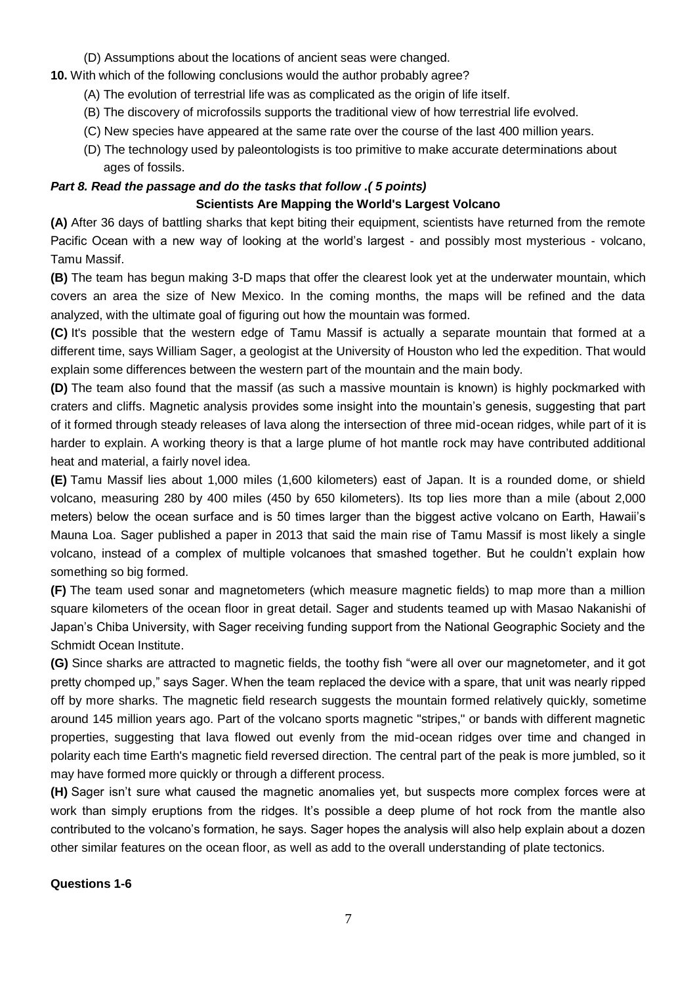(D) Assumptions about the locations of ancient seas were changed.

**10.** With which of the following conclusions would the author probably agree?

- (A) The evolution of terrestrial life was as complicated as the origin of life itself.
- (B) The discovery of microfossils supports the traditional view of how terrestrial life evolved.
- (C) New species have appeared at the same rate over the course of the last 400 million years.
- (D) The technology used by paleontologists is too primitive to make accurate determinations about ages of fossils.

### *Part 8. Read the passage and do the tasks that follow .( 5 points)*

### **Scientists Are Mapping the World's Largest Volcano**

**(A)** After 36 days of battling sharks that kept biting their equipment, scientists have returned from the remote Pacific Ocean with a new way of looking at the world's largest - and possibly most mysterious - volcano, Tamu Massif.

**(B)** The team has begun making 3-D maps that offer the clearest look yet at the underwater mountain, which covers an area the size of New Mexico. In the coming months, the maps will be refined and the data analyzed, with the ultimate goal of figuring out how the mountain was formed.

**(C)** It's possible that the western edge of Tamu Massif is actually a separate mountain that formed at a different time, says William Sager, a geologist at the University of Houston who led the expedition. That would explain some differences between the western part of the mountain and the main body.

**(D)** The team also found that the massif (as such a massive mountain is known) is highly pockmarked with craters and cliffs. Magnetic analysis provides some insight into the mountain's genesis, suggesting that part of it formed through steady releases of lava along the intersection of three mid-ocean ridges, while part of it is harder to explain. A working theory is that a large plume of hot mantle rock may have contributed additional heat and material, a fairly novel idea.

**(E)** Tamu Massif lies about 1,000 miles (1,600 kilometers) east of Japan. It is a rounded dome, or shield volcano, measuring 280 by 400 miles (450 by 650 kilometers). Its top lies more than a mile (about 2,000 meters) below the ocean surface and is 50 times larger than the biggest active volcano on Earth, Hawaii's Mauna Loa. Sager published a paper in 2013 that said the main rise of Tamu Massif is most likely a single volcano, instead of a complex of multiple volcanoes that smashed together. But he couldn't explain how something so big formed.

**(F)** The team used sonar and magnetometers (which measure magnetic fields) to map more than a million square kilometers of the ocean floor in great detail. Sager and students teamed up with Masao Nakanishi of Japan's Chiba University, with Sager receiving funding support from the National Geographic Society and the Schmidt Ocean Institute.

**(G)** Since sharks are attracted to magnetic fields, the toothy fish "were all over our magnetometer, and it got pretty chomped up," says Sager. When the team replaced the device with a spare, that unit was nearly ripped off by more sharks. The magnetic field research suggests the mountain formed relatively quickly, sometime around 145 million years ago. Part of the volcano sports magnetic "stripes," or bands with different magnetic properties, suggesting that lava flowed out evenly from the mid-ocean ridges over time and changed in polarity each time Earth's magnetic field reversed direction. The central part of the peak is more jumbled, so it may have formed more quickly or through a different process.

**(H)** Sager isn't sure what caused the magnetic anomalies yet, but suspects more complex forces were at work than simply eruptions from the ridges. It's possible a deep plume of hot rock from the mantle also contributed to the volcano's formation, he says. Sager hopes the analysis will also help explain about a dozen other similar features on the ocean floor, as well as add to the overall understanding of plate tectonics.

#### **Questions 1-6**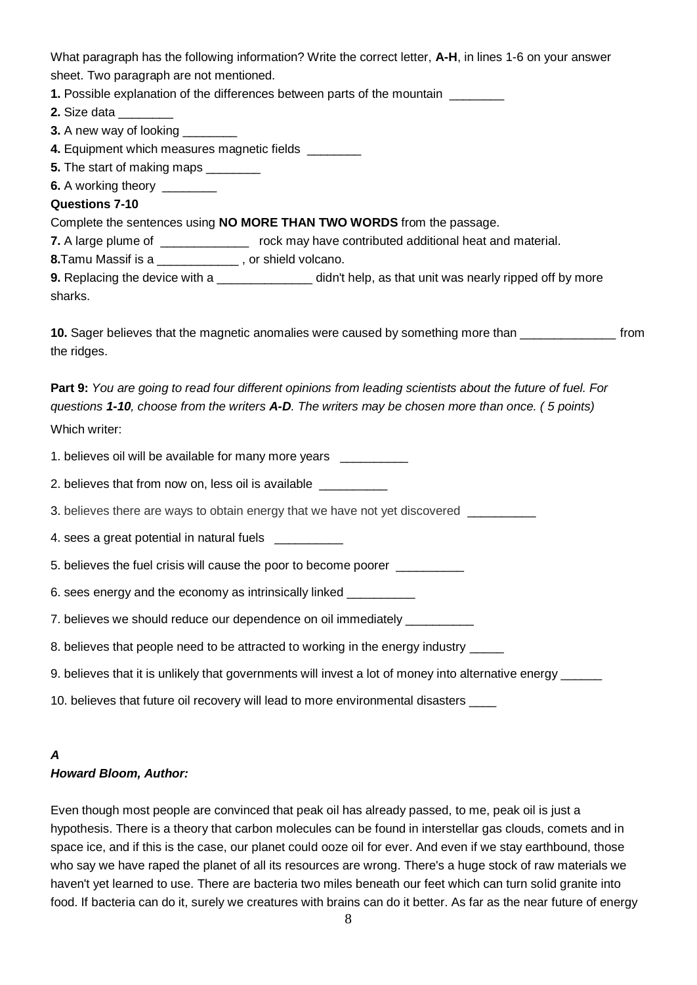What paragraph has the following information? Write the correct letter, **A-H**, in lines 1-6 on your answer sheet. Two paragraph are not mentioned.

**1.** Possible explanation of the differences between parts of the mountain \_\_\_\_\_\_

- **2.** Size data \_\_\_\_\_\_\_\_
- **3.** A new way of looking
- **4.** Equipment which measures magnetic fields \_\_\_\_\_\_\_\_
- **5.** The start of making maps \_\_\_\_\_\_\_
- **6.** A working theory

## **Questions 7-10**

Complete the sentences using **NO MORE THAN TWO WORDS** from the passage.

- **7.** A large plume of \_\_\_\_\_\_\_\_\_\_\_\_\_ rock may have contributed additional heat and material.
- **8.**Tamu Massif is a **and its control of shield volcano.**

**9.** Replacing the device with a **witch a** didn't help, as that unit was nearly ripped off by more sharks.

**10.** Sager believes that the magnetic anomalies were caused by something more than \_\_\_\_\_\_\_\_\_\_\_\_\_\_ from the ridges.

**Part 9:** *You are going to read four different opinions from leading scientists about the future of fuel. For questions 1-10, choose from the writers A-D. The writers may be chosen more than once. ( 5 points)* Which writer:

| 1. believes oil will be available for many more years |  |
|-------------------------------------------------------|--|
|-------------------------------------------------------|--|

2. believes that from now on, less oil is available

3. believes there are ways to obtain energy that we have not yet discovered

- 4. sees a great potential in natural fuels \_\_\_\_\_\_\_\_\_\_
- 5. believes the fuel crisis will cause the poor to become poorer **with all of the sympatric sympatric sympatric sympatric sympatric sympatric sympatric sympatric sympatric sympatric sympatric sympatric sympatric sympatric**
- 6. sees energy and the economy as intrinsically linked \_\_\_\_\_\_\_\_\_\_\_\_\_\_\_\_\_\_\_\_\_\_\_\_\_
- 7. believes we should reduce our dependence on oil immediately \_\_\_\_\_\_\_\_\_\_\_\_\_\_\_\_\_
- 8. believes that people need to be attracted to working in the energy industry
- 9. believes that it is unlikely that governments will invest a lot of money into alternative energy
- 10. believes that future oil recovery will lead to more environmental disasters \_\_\_\_

# *A*

## *Howard Bloom, Author:*

Even though most people are convinced that peak oil has already passed, to me, peak oil is just a hypothesis. There is a theory that carbon molecules can be found in interstellar gas clouds, comets and in space ice, and if this is the case, our planet could ooze oil for ever. And even if we stay earthbound, those who say we have raped the planet of all its resources are wrong. There's a huge stock of raw materials we haven't yet learned to use. There are bacteria two miles beneath our feet which can turn solid granite into food. If bacteria can do it, surely we creatures with brains can do it better. As far as the near future of energy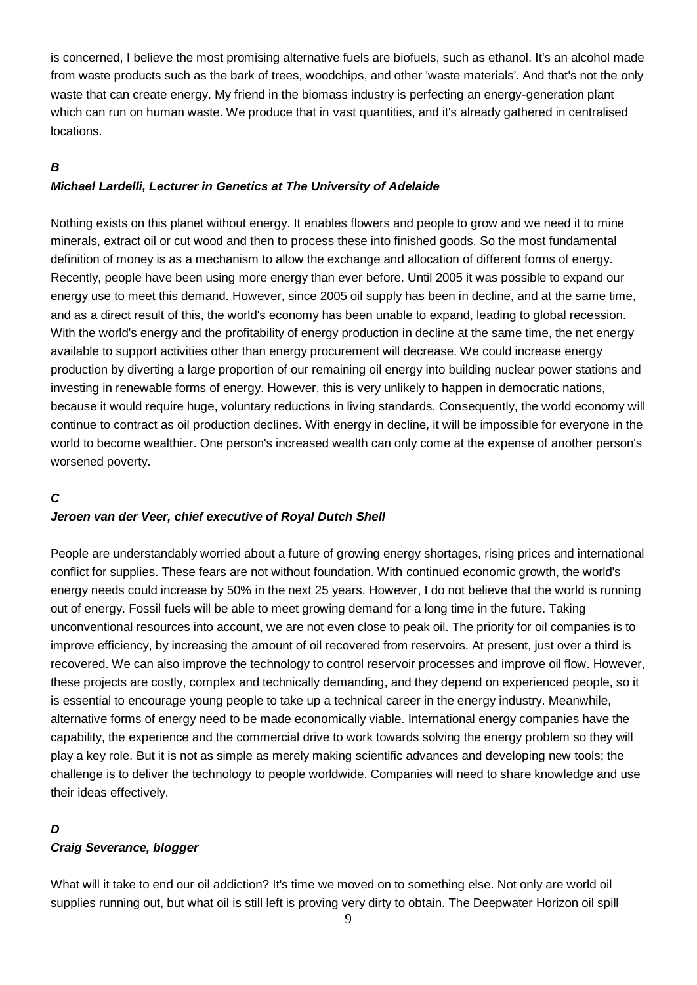is concerned, I believe the most promising alternative fuels are biofuels, such as ethanol. It's an alcohol made from waste products such as the bark of trees, woodchips, and other 'waste materials'. And that's not the only waste that can create energy. My friend in the biomass industry is perfecting an energy-generation plant which can run on human waste. We produce that in vast quantities, and it's already gathered in centralised locations.

#### *B*

#### *Michael Lardelli, Lecturer in Genetics at The University of Adelaide*

Nothing exists on this planet without energy. It enables flowers and people to grow and we need it to mine minerals, extract oil or cut wood and then to process these into finished goods. So the most fundamental definition of money is as a mechanism to allow the exchange and allocation of different forms of energy. Recently, people have been using more energy than ever before. Until 2005 it was possible to expand our energy use to meet this demand. However, since 2005 oil supply has been in decline, and at the same time, and as a direct result of this, the world's economy has been unable to expand, leading to global recession. With the world's energy and the profitability of energy production in decline at the same time, the net energy available to support activities other than energy procurement will decrease. We could increase energy production by diverting a large proportion of our remaining oil energy into building nuclear power stations and investing in renewable forms of energy. However, this is very unlikely to happen in democratic nations, because it would require huge, voluntary reductions in living standards. Consequently, the world economy will continue to contract as oil production declines. With energy in decline, it will be impossible for everyone in the world to become wealthier. One person's increased wealth can only come at the expense of another person's worsened poverty.

#### *C*

#### *Jeroen van der Veer, chief executive of Royal Dutch Shell*

People are understandably worried about a future of growing energy shortages, rising prices and international conflict for supplies. These fears are not without foundation. With continued economic growth, the world's energy needs could increase by 50% in the next 25 years. However, I do not believe that the world is running out of energy. Fossil fuels will be able to meet growing demand for a long time in the future. Taking unconventional resources into account, we are not even close to peak oil. The priority for oil companies is to improve efficiency, by increasing the amount of oil recovered from reservoirs. At present, just over a third is recovered. We can also improve the technology to control reservoir processes and improve oil flow. However, these projects are costly, complex and technically demanding, and they depend on experienced people, so it is essential to encourage young people to take up a technical career in the energy industry. Meanwhile, alternative forms of energy need to be made economically viable. International energy companies have the capability, the experience and the commercial drive to work towards solving the energy problem so they will play a key role. But it is not as simple as merely making scientific advances and developing new tools; the challenge is to deliver the technology to people worldwide. Companies will need to share knowledge and use their ideas effectively.

### *D*

#### *Craig Severance, blogger*

What will it take to end our oil addiction? It's time we moved on to something else. Not only are world oil supplies running out, but what oil is still left is proving very dirty to obtain. The Deepwater Horizon oil spill